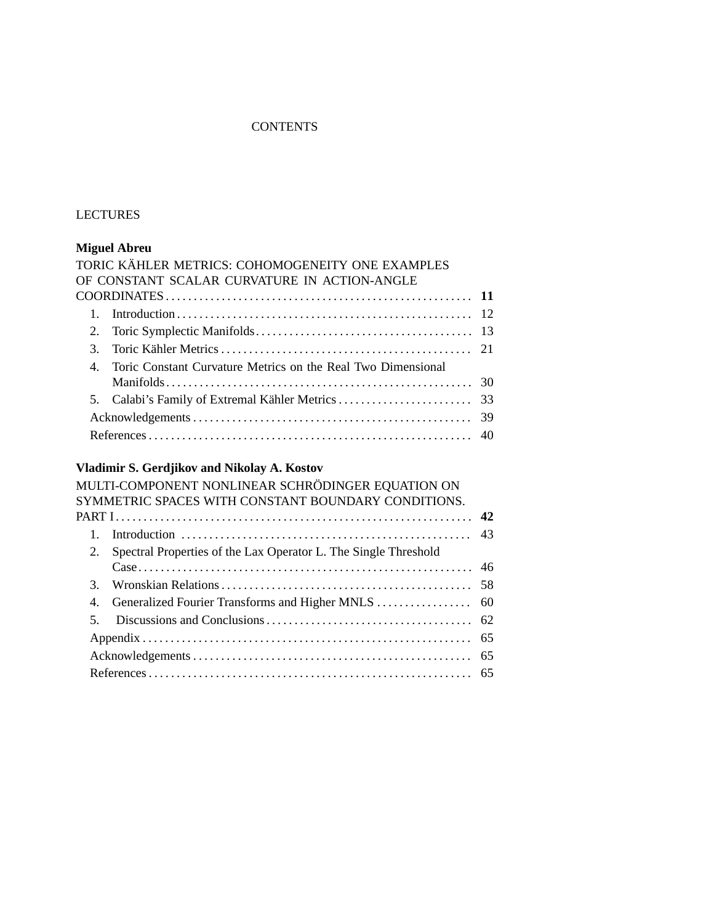### **CONTENTS**

# LECTURES

### **Miguel Abreu**

|                | TORIC KÄHLER METRICS: COHOMOGENEITY ONE EXAMPLES             |  |
|----------------|--------------------------------------------------------------|--|
|                | OF CONSTANT SCALAR CURVATURE IN ACTION-ANGLE                 |  |
|                |                                                              |  |
|                |                                                              |  |
| 2.             |                                                              |  |
| $\mathcal{E}$  |                                                              |  |
| $\overline{4}$ | Toric Constant Curvature Metrics on the Real Two Dimensional |  |
|                |                                                              |  |
|                |                                                              |  |
|                |                                                              |  |
|                |                                                              |  |

# **Vladimir S. Gerdjikov and Nikolay A. Kostov**

|               | MULTI-COMPONENT NONLINEAR SCHRÖDINGER EQUATION ON               |  |
|---------------|-----------------------------------------------------------------|--|
|               | SYMMETRIC SPACES WITH CONSTANT BOUNDARY CONDITIONS.             |  |
|               |                                                                 |  |
|               |                                                                 |  |
| 2.            | Spectral Properties of the Lax Operator L. The Single Threshold |  |
|               |                                                                 |  |
| $\mathcal{E}$ |                                                                 |  |
|               |                                                                 |  |
| 5.            |                                                                 |  |
|               |                                                                 |  |
|               |                                                                 |  |
|               |                                                                 |  |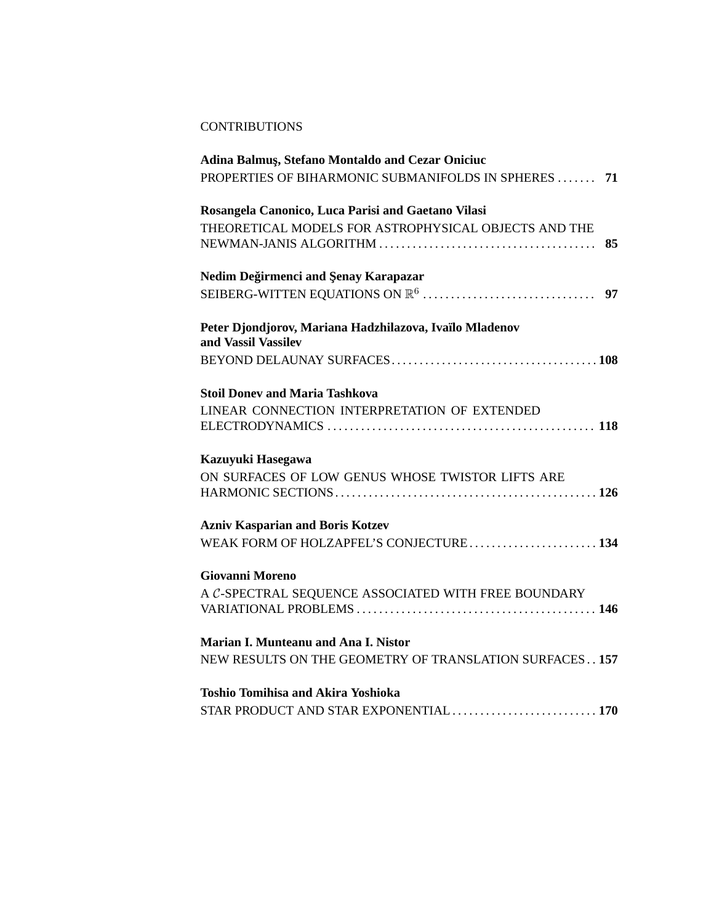### **CONTRIBUTIONS**

| Adina Balmuş, Stefano Montaldo and Cezar Oniciuc        |    |
|---------------------------------------------------------|----|
| PROPERTIES OF BIHARMONIC SUBMANIFOLDS IN SPHERES        | 71 |
| Rosangela Canonico, Luca Parisi and Gaetano Vilasi      |    |
| THEORETICAL MODELS FOR ASTROPHYSICAL OBJECTS AND THE    |    |
|                                                         | 85 |
| Nedim Değirmenci and Şenay Karapazar                    |    |
|                                                         |    |
| Peter Djondjorov, Mariana Hadzhilazova, Ivaïlo Mladenov |    |
| and Vassil Vassilev                                     |    |
|                                                         |    |
| <b>Stoil Doney and Maria Tashkova</b>                   |    |
| LINEAR CONNECTION INTERPRETATION OF EXTENDED            |    |
|                                                         |    |
| Kazuyuki Hasegawa                                       |    |
| ON SURFACES OF LOW GENUS WHOSE TWISTOR LIFTS ARE        |    |
|                                                         |    |
| <b>Azniv Kasparian and Boris Kotzev</b>                 |    |
| WEAK FORM OF HOLZAPFEL'S CONJECTURE 134                 |    |
| <b>Giovanni Moreno</b>                                  |    |
| A C-SPECTRAL SEQUENCE ASSOCIATED WITH FREE BOUNDARY     |    |
|                                                         |    |
| Marian I. Munteanu and Ana I. Nistor                    |    |
| NEW RESULTS ON THE GEOMETRY OF TRANSLATION SURFACES 157 |    |
| <b>Toshio Tomihisa and Akira Yoshioka</b>               |    |
|                                                         |    |
| STAR PRODUCT AND STAR EXPONENTIAL  170                  |    |